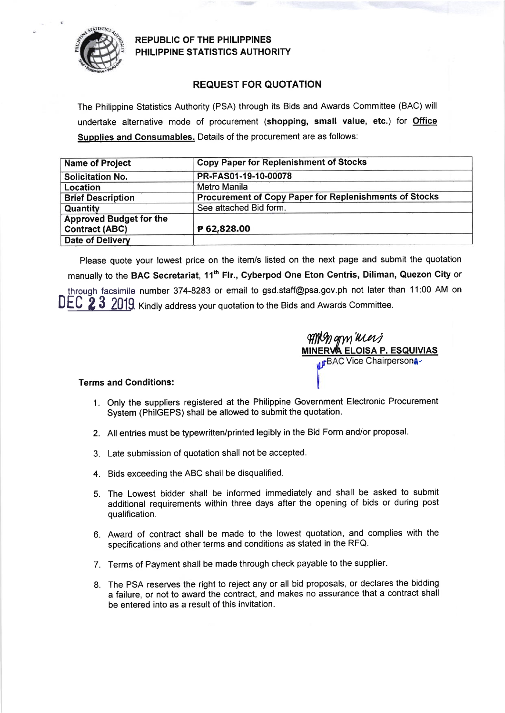

REPUBLIC OF THE PHIL!PPINES PHILIPPINE STATISTICS AUTHORITY

## REQUEST FOR QUOTATION

The Philippine Statistics Authority (PSA) through its Bids and Awards Committee (BAC) will undertake alternative mode of procurement (shopping, small value, etc.) for Office Supplies and Consumables. Details of the procurement are as follows:

| <b>Name of Project</b>         | <b>Copy Paper for Replenishment of Stocks</b>          |  |  |  |  |
|--------------------------------|--------------------------------------------------------|--|--|--|--|
| <b>Solicitation No.</b>        | PR-FAS01-19-10-00078                                   |  |  |  |  |
| Location                       | <b>Metro Manila</b>                                    |  |  |  |  |
| <b>Brief Description</b>       | Procurement of Copy Paper for Replenishments of Stocks |  |  |  |  |
| Quantity                       | See attached Bid form.                                 |  |  |  |  |
| <b>Approved Budget for the</b> |                                                        |  |  |  |  |
| <b>Contract (ABC)</b>          | P 62,828.00                                            |  |  |  |  |
| <b>Date of Delivery</b>        |                                                        |  |  |  |  |

Please quote your lowest price on the item/s listed on the next page and submit the quotation manually to the BAC Secretariat, 11<sup>th</sup> Flr., Cyberpod One Eton Centris, Diliman, Quezon City or throuqh facsimile number 374-8283 or email to gsd.staff@psa.gov.ph not later than 11:00 AM on DEC 2 3 2019. Kindly address your quotation to the Bids and Awards Committee.

AMY) qry Mer*i* **A ELOISA P. ESQUIVIAS IFBAC Vice Chairpersona-**

## Terms and Conditions:

- 1. Only the suppliers registered at the Philippine Government Electronic Procurement System (PhilGEPS) shall be allowed to submit the quotation.
- 2. All entries must be typewritten/printed legibly in the Bid Form and/or proposal.
- 3. Late submission of quotation shall not be accepted.
- 4. Bids exceeding the ABC shall be disqualified.
- 5. The Lowest bidder shall be informed immediately and shall be asked to submit additional requirements within three days after the opening of bids or during post qualification.
- 6. Award of contract shall be made to the lowest quotation, and complies with the specifications and other terms and conditions as stated in the RFQ.
- 7. Terms of Payment shall be made through check payable to the supplier.
- 8. The PSA reserves the right to reject any or all bid proposals, or declares the bidding a failure, or not to award the contract, and makes no assurance that a contract shall be entered into as a result of this invitation.